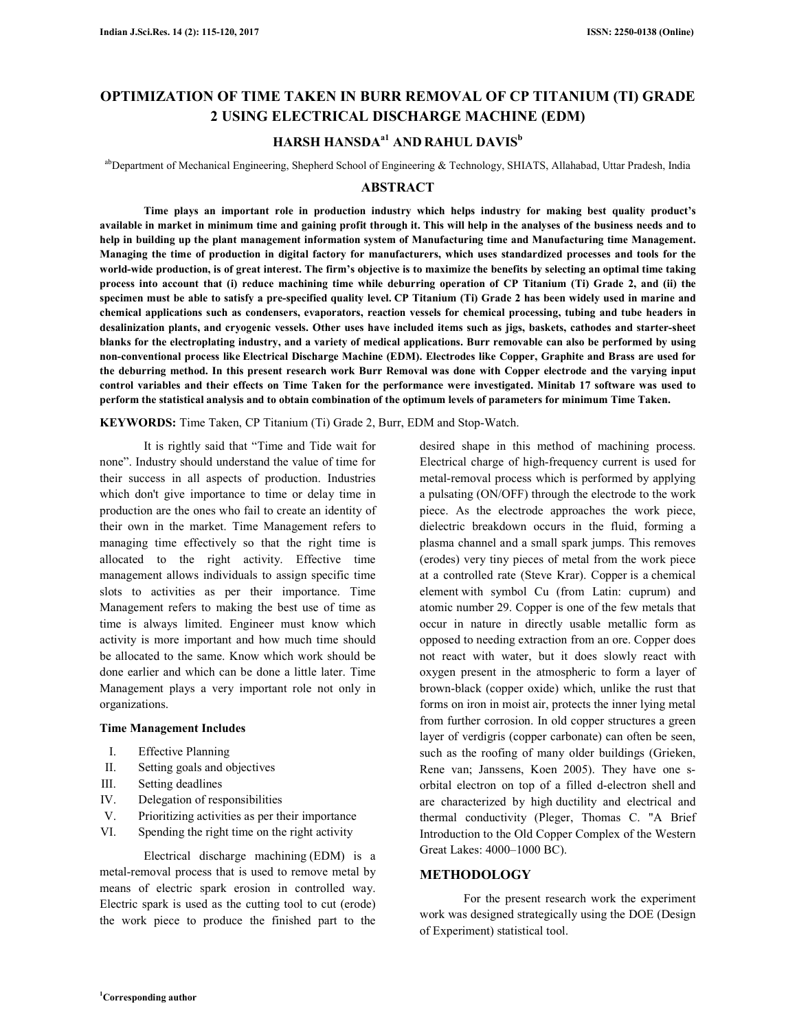# **OPTIMIZATION OF TIME TAKEN IN BURR REMOVAL OF CP TITANIUM (TI) GRADE 2 USING ELECTRICAL DISCHARGE MACHINE (EDM)**

## **HARSH HANSDAa1 AND RAHUL DAVIS<sup>b</sup>**

abDepartment of Mechanical Engineering, Shepherd School of Engineering & Technology, SHIATS, Allahabad, Uttar Pradesh, India

#### **ABSTRACT**

 **Time plays an important role in production industry which helps industry for making best quality product's available in market in minimum time and gaining profit through it. This will help in the analyses of the business needs and to help in building up the plant management information system of Manufacturing time and Manufacturing time Management. Managing the time of production in digital factory for manufacturers, which uses standardized processes and tools for the world-wide production, is of great interest. The firm's objective is to maximize the benefits by selecting an optimal time taking process into account that (i) reduce machining time while deburring operation of CP Titanium (Ti) Grade 2, and (ii) the specimen must be able to satisfy a pre-specified quality level. CP Titanium (Ti) Grade 2 has been widely used in marine and chemical applications such as condensers, evaporators, reaction vessels for chemical processing, tubing and tube headers in desalinization plants, and cryogenic vessels. Other uses have included items such as jigs, baskets, cathodes and starter-sheet blanks for the electroplating industry, and a variety of medical applications. Burr removable can also be performed by using non-conventional process like Electrical Discharge Machine (EDM). Electrodes like Copper, Graphite and Brass are used for the deburring method. In this present research work Burr Removal was done with Copper electrode and the varying input control variables and their effects on Time Taken for the performance were investigated. Minitab 17 software was used to perform the statistical analysis and to obtain combination of the optimum levels of parameters for minimum Time Taken.** 

**KEYWORDS:** Time Taken, CP Titanium (Ti) Grade 2, Burr, EDM and Stop-Watch.

 It is rightly said that "Time and Tide wait for none". Industry should understand the value of time for their success in all aspects of production. Industries which don't give importance to time or delay time in production are the ones who fail to create an identity of their own in the market. Time Management refers to managing time effectively so that the right time is allocated to the right activity. Effective time management allows individuals to assign specific time slots to activities as per their importance. Time Management refers to making the best use of time as time is always limited. Engineer must know which activity is more important and how much time should be allocated to the same. Know which work should be done earlier and which can be done a little later. Time Management plays a very important role not only in organizations.

### **Time Management Includes**

- I. Effective Planning
- II. Setting goals and objectives
- III. Setting deadlines
- IV. Delegation of responsibilities
- V. Prioritizing activities as per their importance
- VI. Spending the right time on the right activity

 Electrical discharge machining (EDM) is a metal-removal process that is used to remove metal by means of electric spark erosion in controlled way. Electric spark is used as the cutting tool to cut (erode) the work piece to produce the finished part to the

desired shape in this method of machining process. Electrical charge of high-frequency current is used for metal-removal process which is performed by applying a pulsating (ON/OFF) through the electrode to the work piece. As the electrode approaches the work piece, dielectric breakdown occurs in the fluid, forming a plasma channel and a small spark jumps. This removes (erodes) very tiny pieces of metal from the work piece at a controlled rate (Steve Krar). Copper is a chemical element with symbol Cu (from Latin: cuprum) and atomic number 29. Copper is one of the few metals that occur in nature in directly usable metallic form as opposed to needing extraction from an ore. Copper does not react with water, but it does slowly react with oxygen present in the atmospheric to form a layer of brown-black (copper oxide) which, unlike the rust that forms on iron in moist air, protects the inner lying metal from further corrosion. In old copper structures a green layer of verdigris (copper carbonate) can often be seen, such as the roofing of many older buildings (Grieken, Rene van; Janssens, Koen 2005). They have one sorbital electron on top of a filled d-electron shell and are characterized by high ductility and electrical and thermal conductivity (Pleger, Thomas C. "A Brief Introduction to the Old Copper Complex of the Western Great Lakes: 4000–1000 BC).

#### **METHODOLOGY**

 For the present research work the experiment work was designed strategically using the DOE (Design of Experiment) statistical tool.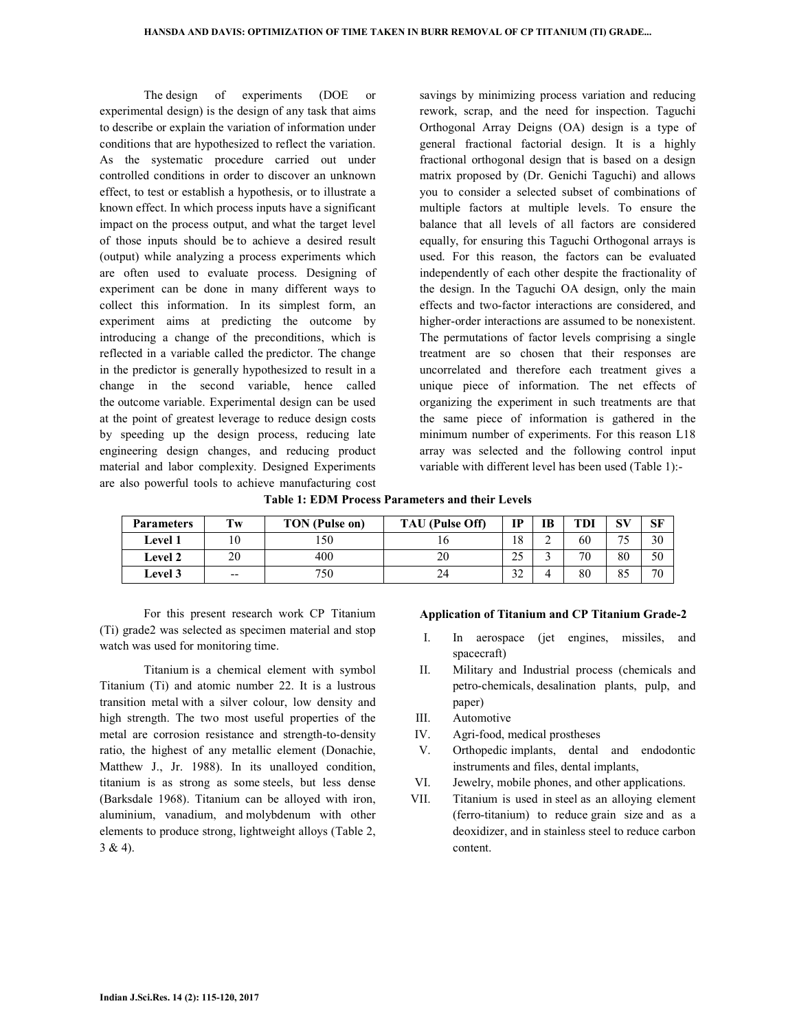The design of experiments (DOE or experimental design) is the design of any task that aims to describe or explain the variation of information under conditions that are hypothesized to reflect the variation. As the systematic procedure carried out under controlled conditions in order to discover an unknown effect, to test or establish a hypothesis, or to illustrate a known effect. In which process inputs have a significant impact on the process output, and what the target level of those inputs should be to achieve a desired result (output) while analyzing a process experiments which are often used to evaluate process. Designing of experiment can be done in many different ways to collect this information. In its simplest form, an experiment aims at predicting the outcome by introducing a change of the preconditions, which is reflected in a variable called the predictor. The change in the predictor is generally hypothesized to result in a change in the second variable, hence called the outcome variable. Experimental design can be used at the point of greatest leverage to reduce design costs by speeding up the design process, reducing late engineering design changes, and reducing product material and labor complexity. Designed Experiments are also powerful tools to achieve manufacturing cost savings by minimizing process variation and reducing rework, scrap, and the need for inspection. Taguchi Orthogonal Array Deigns (OA) design is a type of general fractional factorial design. It is a highly fractional orthogonal design that is based on a design matrix proposed by (Dr. Genichi Taguchi) and allows you to consider a selected subset of combinations of multiple factors at multiple levels. To ensure the balance that all levels of all factors are considered equally, for ensuring this Taguchi Orthogonal arrays is used. For this reason, the factors can be evaluated independently of each other despite the fractionality of the design. In the Taguchi OA design, only the main effects and two-factor interactions are considered, and higher-order interactions are assumed to be nonexistent. The permutations of factor levels comprising a single treatment are so chosen that their responses are uncorrelated and therefore each treatment gives a unique piece of information. The net effects of organizing the experiment in such treatments are that the same piece of information is gathered in the minimum number of experiments. For this reason L18 array was selected and the following control input variable with different level has been used (Table 1):-

**Table 1: EDM Process Parameters and their Levels** 

| <b>Parameters</b> | Tw    | <b>TON</b> (Pulse on) | <b>TAU</b> (Pulse Off) | <b>IP</b>             | IB | <b>TDI</b> | CVI                      | SF |
|-------------------|-------|-----------------------|------------------------|-----------------------|----|------------|--------------------------|----|
| <b>Level 1</b>    |       | .50                   |                        | 8                     | ∸  | 60         | $\overline{\phantom{a}}$ | 30 |
| <b>Level 2</b>    | 20    | 400                   |                        | つく<br>ند              |    | 70         | 80                       | 50 |
| <b>Level 3</b>    | $- -$ | 750                   | 24                     | $\mathfrak{D}$<br>ے د |    | 80         | 85                       | 70 |

 For this present research work CP Titanium (Ti) grade2 was selected as specimen material and stop watch was used for monitoring time.

 Titanium is a chemical element with symbol Titanium (Ti) and atomic number 22. It is a lustrous transition metal with a silver colour, low density and high strength. The two most useful properties of the metal are corrosion resistance and strength-to-density ratio, the highest of any metallic element (Donachie, Matthew J., Jr. 1988). In its unalloyed condition, titanium is as strong as some steels, but less dense (Barksdale 1968). Titanium can be alloyed with iron, aluminium, vanadium, and molybdenum with other elements to produce strong, lightweight alloys (Table 2,  $3 & 4$ ).

#### **Application of Titanium and CP Titanium Grade-2**

- I. In aerospace (jet engines, missiles, and spacecraft)
- II. Military and Industrial process (chemicals and petro-chemicals, desalination plants, pulp, and paper)
- III. Automotive
- IV. Agri-food, medical prostheses
- V. Orthopedic implants, dental and endodontic instruments and files, dental implants,
- VI. Jewelry, mobile phones, and other applications.
- VII. Titanium is used in steel as an alloying element (ferro-titanium) to reduce grain size and as a deoxidizer, and in stainless steel to reduce carbon content.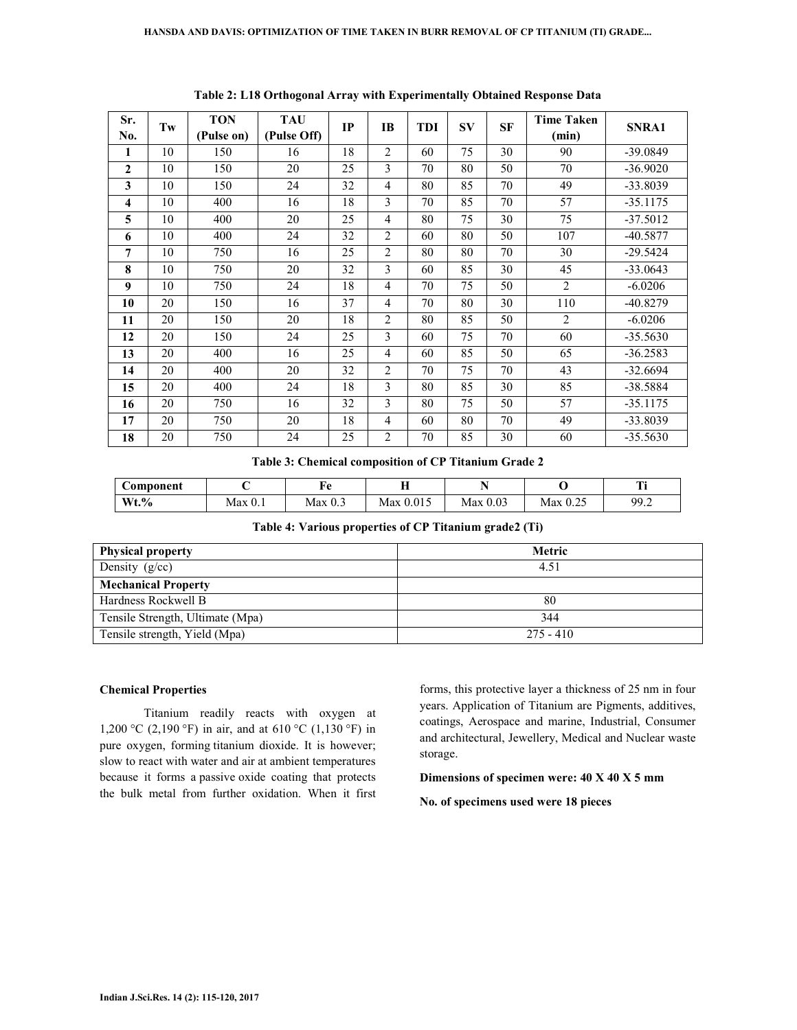| Sr.          | Tw | <b>TON</b> | <b>TAU</b>  | IP | <b>IB</b>      | <b>TDI</b> | <b>SV</b> | <b>SF</b> | <b>Time Taken</b> | SNRA1      |
|--------------|----|------------|-------------|----|----------------|------------|-----------|-----------|-------------------|------------|
| No.          |    | (Pulse on) | (Pulse Off) |    |                |            |           |           | (min)             |            |
| 1            | 10 | 150        | 16          | 18 | $\overline{2}$ | 60         | 75        | 30        | 90                | $-39.0849$ |
| $\mathbf{2}$ | 10 | 150        | 20          | 25 | 3              | 70         | 80        | 50        | 70                | $-36.9020$ |
| 3            | 10 | 150        | 24          | 32 | 4              | 80         | 85        | 70        | 49                | $-33.8039$ |
| 4            | 10 | 400        | 16          | 18 | 3              | 70         | 85        | 70        | 57                | $-35.1175$ |
| 5            | 10 | 400        | 20          | 25 | 4              | 80         | 75        | 30        | 75                | $-37.5012$ |
| 6            | 10 | 400        | 24          | 32 | 2              | 60         | 80        | 50        | 107               | $-40.5877$ |
| 7            | 10 | 750        | 16          | 25 | 2              | 80         | 80        | 70        | 30                | $-29.5424$ |
| 8            | 10 | 750        | 20          | 32 | 3              | 60         | 85        | 30        | 45                | $-33.0643$ |
| 9            | 10 | 750        | 24          | 18 | 4              | 70         | 75        | 50        | $\overline{2}$    | $-6.0206$  |
| 10           | 20 | 150        | 16          | 37 | 4              | 70         | 80        | 30        | 110               | $-40.8279$ |
| 11           | 20 | 150        | 20          | 18 | $\overline{2}$ | 80         | 85        | 50        | $\overline{2}$    | $-6.0206$  |
| 12           | 20 | 150        | 24          | 25 | 3              | 60         | 75        | 70        | 60                | $-35.5630$ |
| 13           | 20 | 400        | 16          | 25 | 4              | 60         | 85        | 50        | 65                | $-36.2583$ |
| 14           | 20 | 400        | 20          | 32 | 2              | 70         | 75        | 70        | 43                | $-32.6694$ |
| 15           | 20 | 400        | 24          | 18 | 3              | 80         | 85        | 30        | 85                | $-38.5884$ |
| 16           | 20 | 750        | 16          | 32 | 3              | 80         | 75        | 50        | 57                | $-35.1175$ |
| 17           | 20 | 750        | 20          | 18 | 4              | 60         | 80        | 70        | 49                | $-33.8039$ |
| 18           | 20 | 750        | 24          | 25 | $\overline{c}$ | 70         | 85        | 30        | 60                | $-35.5630$ |

**Table 2: L18 Orthogonal Array with Experimentally Obtained Response Data** 

**Table 3: Chemical composition of CP Titanium Grade 2** 

| Component |         | НO        | $-$<br>   |          |                                     | m.<br>         |  |
|-----------|---------|-----------|-----------|----------|-------------------------------------|----------------|--|
| $Wt.\%$   | Max 0.1 | Max $0.5$ | Max 0.015 | Max 0.03 | $\sim$ $\sim$<br>Max<br><u>U.ZJ</u> | 00 C<br>$\sim$ |  |

|  |  |  | Table 4: Various properties of CP Titanium grade2 (Ti) |  |
|--|--|--|--------------------------------------------------------|--|
|--|--|--|--------------------------------------------------------|--|

| <b>Physical property</b>         | Metric      |
|----------------------------------|-------------|
| Density $(g/cc)$                 | 4.51        |
| <b>Mechanical Property</b>       |             |
| Hardness Rockwell B              | 80          |
| Tensile Strength, Ultimate (Mpa) | 344         |
| Tensile strength, Yield (Mpa)    | $275 - 410$ |

#### **Chemical Properties**

 Titanium readily reacts with oxygen at 1,200 °C (2,190 °F) in air, and at 610 °C (1,130 °F) in pure oxygen, forming titanium dioxide. It is however; slow to react with water and air at ambient temperatures because it forms a passive oxide coating that protects the bulk metal from further oxidation. When it first

forms, this protective layer a thickness of 25 nm in four years. Application of Titanium are Pigments, additives, coatings, Aerospace and marine, Industrial, Consumer and architectural, Jewellery, Medical and Nuclear waste storage.

**Dimensions of specimen were: 40 X 40 X 5 mm** 

**No. of specimens used were 18 pieces**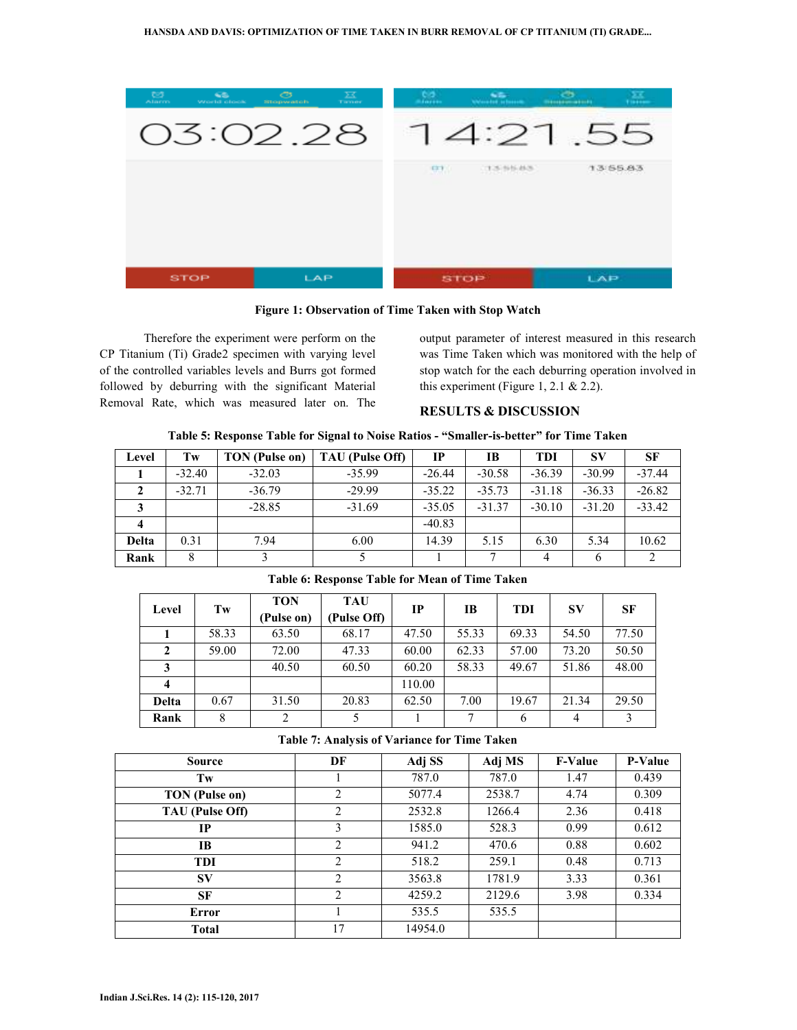

**Figure 1: Observation of Time Taken with Stop Watch**

 Therefore the experiment were perform on the CP Titanium (Ti) Grade2 specimen with varying level of the controlled variables levels and Burrs got formed followed by deburring with the significant Material Removal Rate, which was measured later on. The output parameter of interest measured in this research was Time Taken which was monitored with the help of stop watch for the each deburring operation involved in this experiment (Figure 1, 2.1  $& 2.2$ ).

## **RESULTS & DISCUSSION**

|  |  | Table 5: Response Table for Signal to Noise Ratios - "Smaller-is-better" for Time Taken |  |
|--|--|-----------------------------------------------------------------------------------------|--|
|  |  |                                                                                         |  |

| Level | Tw       | <b>TON</b> (Pulse on) | <b>TAU</b> (Pulse Off) | IP       | IB       | <b>TDI</b> | SV       | <b>SF</b> |
|-------|----------|-----------------------|------------------------|----------|----------|------------|----------|-----------|
|       | $-32.40$ | $-32.03$              | $-35.99$               | $-26.44$ | $-30.58$ | $-36.39$   | $-30.99$ | $-37.44$  |
|       | $-32.71$ | $-36.79$              | $-29.99$               | $-35.22$ | $-35.73$ | $-31.18$   | $-36.33$ | $-26.82$  |
|       |          | $-28.85$              | $-31.69$               | $-35.05$ | $-31.37$ | $-30.10$   | $-31.20$ | $-33.42$  |
|       |          |                       |                        | $-40.83$ |          |            |          |           |
| Delta | 0.31     | 7.94                  | 6.00                   | 14.39    | 5.15     | 6.30       | 5.34     | 10.62     |
| Rank  | 8        |                       |                        |          |          | 4          | 6        | 2         |

| Level | Tw    | <b>TON</b><br>(Pulse on) | TAU<br>(Pulse Off) | IP     | IB    | <b>TDI</b> | $S_{\bf V}$    | <b>SF</b> |
|-------|-------|--------------------------|--------------------|--------|-------|------------|----------------|-----------|
|       | 58.33 | 63.50                    | 68.17              | 47.50  | 55.33 | 69.33      | 54.50          | 77.50     |
| 2     | 59.00 | 72.00                    | 47.33              | 60.00  | 62.33 | 57.00      | 73.20          | 50.50     |
| 3     |       | 40.50                    | 60.50              | 60.20  | 58.33 | 49.67      | 51.86          | 48.00     |
|       |       |                          |                    | 110.00 |       |            |                |           |
| Delta | 0.67  | 31.50                    | 20.83              | 62.50  | 7.00  | 19.67      | 21.34          | 29.50     |
| Rank  | 8     | 2                        |                    |        | 7     | 6          | $\overline{4}$ | 3         |

**Table 6: Response Table for Mean of Time Taken** 

**Table 7: Analysis of Variance for Time Taken** 

| <b>Source</b>   | DF             | Adj SS  | Adj MS | <b>F-Value</b> | <b>P-Value</b> |
|-----------------|----------------|---------|--------|----------------|----------------|
| Tw              |                | 787.0   | 787.0  | 1.47           | 0.439          |
| TON (Pulse on)  | 2              | 5077.4  | 2538.7 | 4.74           | 0.309          |
| TAU (Pulse Off) | 2              | 2532.8  | 1266.4 | 2.36           | 0.418          |
| IP              | 3              | 1585.0  | 528.3  | 0.99           | 0.612          |
| IB              | 2              | 941.2   | 470.6  | 0.88           | 0.602          |
| TDI             | 2              | 518.2   | 259.1  | 0.48           | 0.713          |
| $S_{V}$         | 2              | 3563.8  | 1781.9 | 3.33           | 0.361          |
| SF              | $\overline{2}$ | 4259.2  | 2129.6 | 3.98           | 0.334          |
| Error           |                | 535.5   | 535.5  |                |                |
| <b>Total</b>    | 17             | 14954.0 |        |                |                |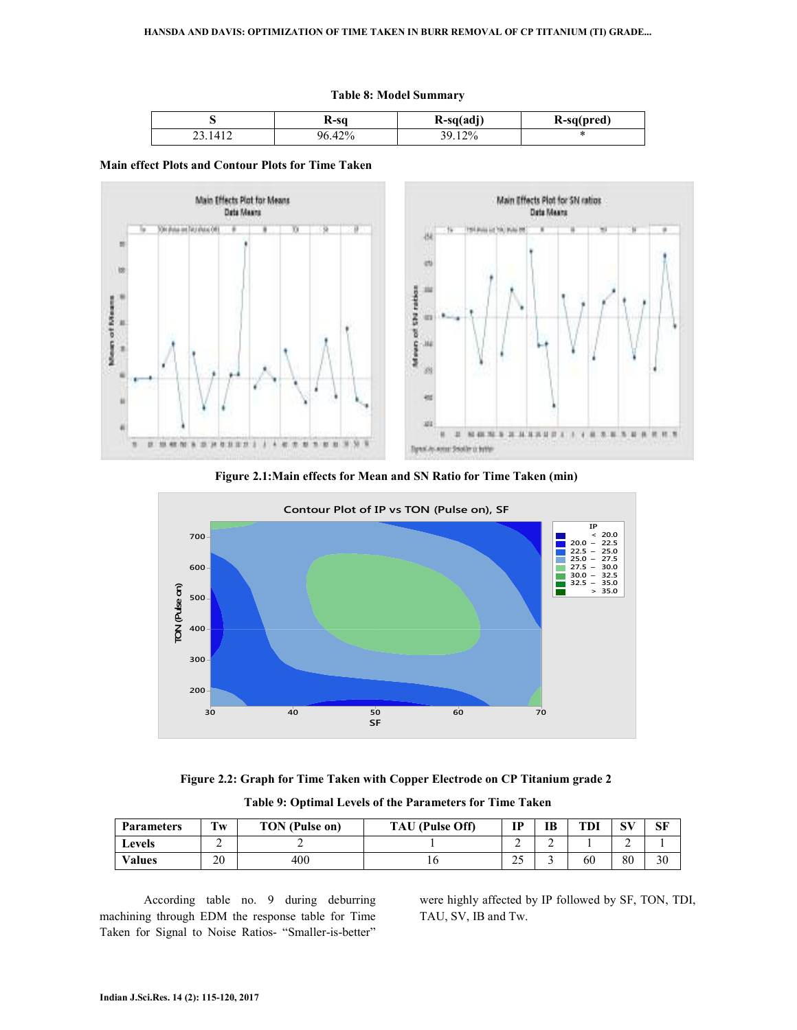|            |                                        |                                 | Main Effects Plot for Means<br>Data Means |                  |        |   |                          |                                                                           |                    |      | Main liffects Plot for SN ratios | Data Means |               |   |    |
|------------|----------------------------------------|---------------------------------|-------------------------------------------|------------------|--------|---|--------------------------|---------------------------------------------------------------------------|--------------------|------|----------------------------------|------------|---------------|---|----|
| h.<br>$-1$ | $\mathbb{E}[\mathcal{X}]$<br>-lip<br>ш | XX Peace and Pay Palay Off<br>ш | 14.19                                     | <b>COL</b><br>¥, | w<br>ш | ¥ | U.<br>a C<br>ř.<br>tin a | 권<br>$\frac{1}{2}$<br><b>B</b><br>B<br>m<br>ź<br>M<br>$\frac{1}{2}$<br>üù | 裓<br><b>Barbar</b> | inc. | in in the King                   | m<br>۳f    | $\mathcal{H}$ | ü | a. |

**Table 8: Model Summary** 

**S R-sq R-sq(adj) R-sq(pred)**  23.1412 96.42% 39.12% \*

#### **Figure 2.1:Main effects for Mean and SN Ratio for Time Taken (min)**



**Figure 2.2: Graph for Time Taken with Copper Electrode on CP Titanium grade 2** 

| <b>Parameters</b> | $T_{\mathbf{W}}$ | <b>TON</b> (Pulse on) | <b>TAU</b> (Pulse Off) | TD          | IB | TDI | CVI<br>◡ | SF |
|-------------------|------------------|-----------------------|------------------------|-------------|----|-----|----------|----|
| Levels            |                  |                       |                        |             | -  |     | ∸        |    |
| <b>Values</b>     | 20               | 400                   | I 0                    | $\sim$<br>ت |    | 60  | 80       | 30 |

 According table no. 9 during deburring machining through EDM the response table for Time Taken for Signal to Noise Ratios- "Smaller-is-better"

**Main effect Plots and Contour Plots for Time Taken** 

were highly affected by IP followed by SF, TON, TDI, TAU, SV, IB and Tw.